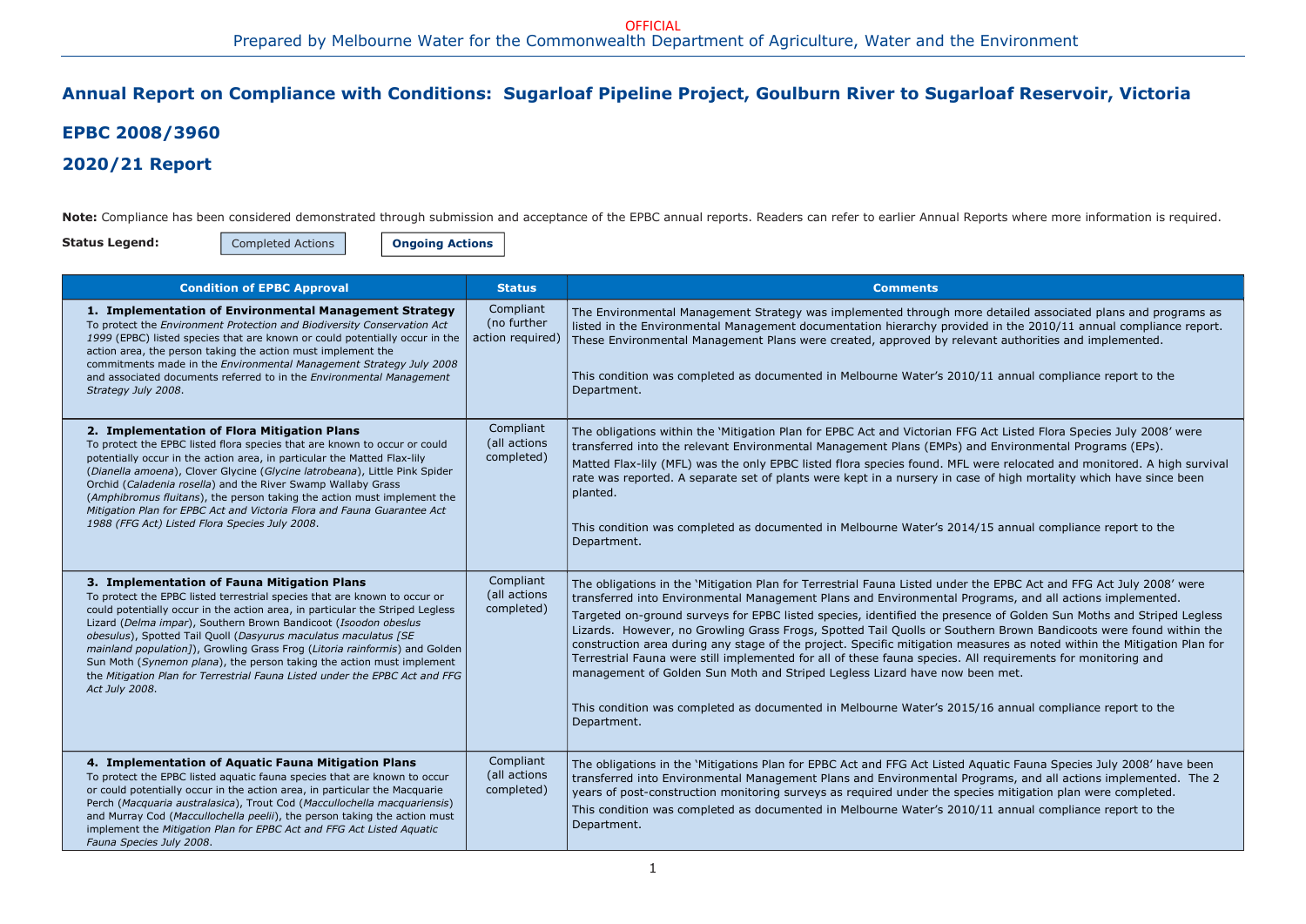detailed associated plans and programs as I in the 2010/11 annual compliance report. nt authorities and implemented.

1 annual compliance report to the

ct Listed Flora Species July 2008' were Environmental Programs (EPs).

re relocated and monitored. A high survival of high mortality which have since been

5 annual compliance report to the

**EPBC Act and FFG Act July 2008' were** rams, and all actions implemented. e of Golden Sun Moths and Striped Legless rn Brown Bandicoots were found within the ures as noted within the Mitigation Plan for equirements for monitoring and

6 annual compliance report to the

The obligations in the 'Mitigations Plan in the Fauna Species July 2008' have been rams, and all actions implemented. The 2 s mitigation plan were completed. 1 annual compliance report to the

## Annual Report on Compliance with Conditions: Sugarloaf Pipeline Project, Goulburn River to Sugarloaf Reservoir, Victoria

# EPBC 2008/3960

### 2020/21 Report

Note: Compliance has been considered demonstrated through submission and acceptance of the EPBC annual reports. Readers can refer to earlier Annual Reports where more information is required.

Status Legend:

Completed Actions | **Ongoing Actions** 

| <b>Condition of EPBC Approval</b>                                                                                                                                                                                                                                                                                                                                                                                                                                                                                                                                                                       | <b>Status</b>                                | <b>Comments</b>                                                                                                                                                                                                                                                                                                                                                                                                                                                                                                                                                                                                                                                                                              |
|---------------------------------------------------------------------------------------------------------------------------------------------------------------------------------------------------------------------------------------------------------------------------------------------------------------------------------------------------------------------------------------------------------------------------------------------------------------------------------------------------------------------------------------------------------------------------------------------------------|----------------------------------------------|--------------------------------------------------------------------------------------------------------------------------------------------------------------------------------------------------------------------------------------------------------------------------------------------------------------------------------------------------------------------------------------------------------------------------------------------------------------------------------------------------------------------------------------------------------------------------------------------------------------------------------------------------------------------------------------------------------------|
| 1. Implementation of Environmental Management Strategy<br>To protect the Environment Protection and Biodiversity Conservation Act<br>1999 (EPBC) listed species that are known or could potentially occur in the<br>action area, the person taking the action must implement the<br>commitments made in the Environmental Management Strategy July 2008<br>and associated documents referred to in the Environmental Management<br>Strategy July 2008.                                                                                                                                                  | Compliant<br>(no further<br>action required) | The Environmental Management Strategy was implemented through more detailed<br>listed in the Environmental Management documentation hierarchy provided in the<br>These Environmental Management Plans were created, approved by relevant authenties<br>This condition was completed as documented in Melbourne Water's 2010/11 annual<br>Department.                                                                                                                                                                                                                                                                                                                                                         |
| 2. Implementation of Flora Mitigation Plans<br>To protect the EPBC listed flora species that are known to occur or could<br>potentially occur in the action area, in particular the Matted Flax-lily<br>(Dianella amoena), Clover Glycine (Glycine latrobeana), Little Pink Spider<br>Orchid (Caladenia rosella) and the River Swamp Wallaby Grass<br>(Amphibromus fluitans), the person taking the action must implement the<br>Mitigation Plan for EPBC Act and Victoria Flora and Fauna Guarantee Act<br>1988 (FFG Act) Listed Flora Species July 2008.                                              | Compliant<br>(all actions<br>completed)      | The obligations within the 'Mitigation Plan for EPBC Act and Victorian FFG Act Liste<br>transferred into the relevant Environmental Management Plans (EMPs) and Enviror<br>Matted Flax-lily (MFL) was the only EPBC listed flora species found. MFL were reloo<br>rate was reported. A separate set of plants were kept in a nursery in case of high<br>planted.<br>This condition was completed as documented in Melbourne Water's 2014/15 annua<br>Department.                                                                                                                                                                                                                                             |
| 3. Implementation of Fauna Mitigation Plans<br>To protect the EPBC listed terrestrial species that are known to occur or<br>could potentially occur in the action area, in particular the Striped Legless<br>Lizard (Delma impar), Southern Brown Bandicoot (Isoodon obeslus<br>obesulus), Spotted Tail Quoll (Dasyurus maculatus maculatus [SE<br>mainland population]), Growling Grass Frog (Litoria rainformis) and Golden<br>Sun Moth (Synemon plana), the person taking the action must implement<br>the Mitigation Plan for Terrestrial Fauna Listed under the EPBC Act and FFG<br>Act July 2008. | Compliant<br>(all actions<br>completed)      | The obligations in the 'Mitigation Plan for Terrestrial Fauna Listed under the EPBC.<br>transferred into Environmental Management Plans and Environmental Programs, a<br>Targeted on-ground surveys for EPBC listed species, identified the presence of Gol<br>Lizards. However, no Growling Grass Frogs, Spotted Tail Quolls or Southern Brow<br>construction area during any stage of the project. Specific mitigation measures as<br>Terrestrial Fauna were still implemented for all of these fauna species. All requiren<br>management of Golden Sun Moth and Striped Legless Lizard have now been met.<br>This condition was completed as documented in Melbourne Water's 2015/16 annua<br>Department. |
| 4. Implementation of Aquatic Fauna Mitigation Plans<br>To protect the EPBC listed aquatic fauna species that are known to occur<br>or could potentially occur in the action area, in particular the Macquarie<br>Perch (Macquaria australasica), Trout Cod (Maccullochella macquariensis)<br>and Murray Cod (Maccullochella peelii), the person taking the action must<br>implement the Mitigation Plan for EPBC Act and FFG Act Listed Aquatic<br>Fauna Species July 2008.                                                                                                                             | Compliant<br>(all actions<br>completed)      | The obligations in the 'Mitigations Plan for EPBC Act and FFG Act Listed Aquatic Fa<br>transferred into Environmental Management Plans and Environmental Programs, a<br>years of post-construction monitoring surveys as required under the species mitiga<br>This condition was completed as documented in Melbourne Water's 2010/11 annua<br>Department.                                                                                                                                                                                                                                                                                                                                                   |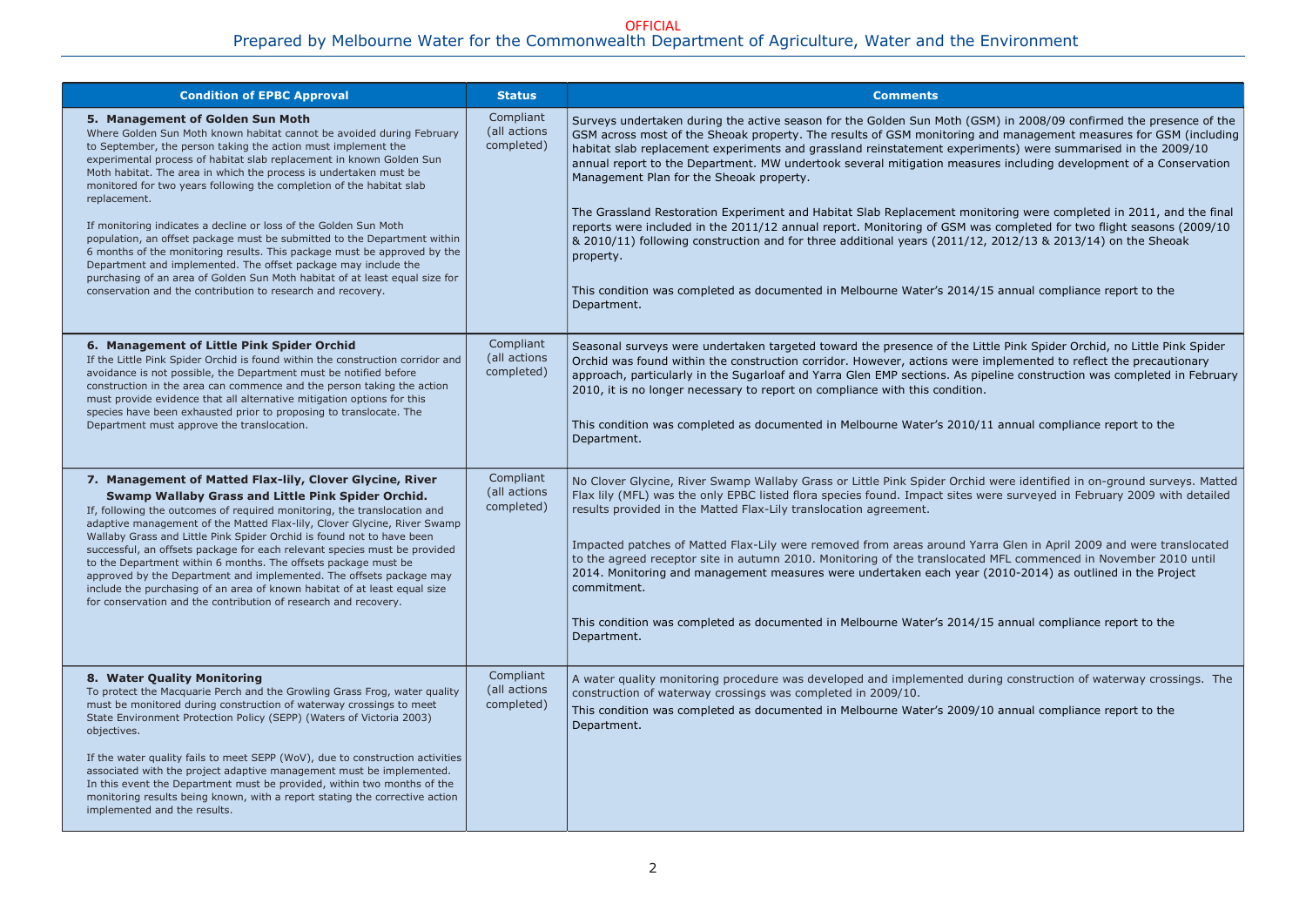M) in 2008/09 confirmed the presence of the nd management measures for GSM (including hents) were summarised in the 2009/10 res including development of a Conservation

Itoring were completed in 2011, and the final s completed for two flight seasons (2009/10 2012/13 & 2013/14) on the Sheoak

5 annual compliance report to the

tle Pink Spider Orchid, no Little Pink Spider mplemented to reflect the precautionary beline construction was completed in February

1 annual compliance report to the

were identified in on-ground surveys. Matted ere surveyed in February 2009 with detailed

ra Glen in April 2009 and were translocated MFL commenced in November 2010 until  $(2010-2014)$  as outlined in the Project

5 annual compliance report to the

ing construction of waterway crossings. The

0 annual compliance report to the

| <b>Condition of EPBC Approval</b>                                                                                                                                                                                                                                                                                                                                                                                                                                                                                                                                                                                                                                                                                                                                                                                                                           | <b>Status</b>                           | <b>Comments</b>                                                                                                                                                                                                                                                                                                                                                                                                                                                                                                                                                                                                                                                                                       |
|-------------------------------------------------------------------------------------------------------------------------------------------------------------------------------------------------------------------------------------------------------------------------------------------------------------------------------------------------------------------------------------------------------------------------------------------------------------------------------------------------------------------------------------------------------------------------------------------------------------------------------------------------------------------------------------------------------------------------------------------------------------------------------------------------------------------------------------------------------------|-----------------------------------------|-------------------------------------------------------------------------------------------------------------------------------------------------------------------------------------------------------------------------------------------------------------------------------------------------------------------------------------------------------------------------------------------------------------------------------------------------------------------------------------------------------------------------------------------------------------------------------------------------------------------------------------------------------------------------------------------------------|
| 5. Management of Golden Sun Moth<br>Where Golden Sun Moth known habitat cannot be avoided during February<br>to September, the person taking the action must implement the<br>experimental process of habitat slab replacement in known Golden Sun<br>Moth habitat. The area in which the process is undertaken must be<br>monitored for two years following the completion of the habitat slab<br>replacement.<br>If monitoring indicates a decline or loss of the Golden Sun Moth<br>population, an offset package must be submitted to the Department within<br>6 months of the monitoring results. This package must be approved by the<br>Department and implemented. The offset package may include the<br>purchasing of an area of Golden Sun Moth habitat of at least equal size for<br>conservation and the contribution to research and recovery. | Compliant<br>(all actions<br>completed) | Surveys undertaken during the active season for the Golden Sun Moth (GSN<br>GSM across most of the Sheoak property. The results of GSM monitoring an<br>habitat slab replacement experiments and grassland reinstatement experim<br>annual report to the Department. MW undertook several mitigation measure<br>Management Plan for the Sheoak property.<br>The Grassland Restoration Experiment and Habitat Slab Replacement monit<br>reports were included in the 2011/12 annual report. Monitoring of GSM was<br>& 2010/11) following construction and for three additional years (2011/12,<br>property.<br>This condition was completed as documented in Melbourne Water's 2014/15<br>Department. |
| 6. Management of Little Pink Spider Orchid<br>If the Little Pink Spider Orchid is found within the construction corridor and<br>avoidance is not possible, the Department must be notified before<br>construction in the area can commence and the person taking the action<br>must provide evidence that all alternative mitigation options for this<br>species have been exhausted prior to proposing to translocate. The<br>Department must approve the translocation.                                                                                                                                                                                                                                                                                                                                                                                   | Compliant<br>(all actions<br>completed) | Seasonal surveys were undertaken targeted toward the presence of the Litt<br>Orchid was found within the construction corridor. However, actions were in<br>approach, particularly in the Sugarloaf and Yarra Glen EMP sections. As pipe<br>2010, it is no longer necessary to report on compliance with this condition.<br>This condition was completed as documented in Melbourne Water's 2010/11<br>Department.                                                                                                                                                                                                                                                                                    |
| 7. Management of Matted Flax-lily, Clover Glycine, River<br>Swamp Wallaby Grass and Little Pink Spider Orchid.<br>If, following the outcomes of required monitoring, the translocation and<br>adaptive management of the Matted Flax-lily, Clover Glycine, River Swamp<br>Wallaby Grass and Little Pink Spider Orchid is found not to have been<br>successful, an offsets package for each relevant species must be provided<br>to the Department within 6 months. The offsets package must be<br>approved by the Department and implemented. The offsets package may<br>include the purchasing of an area of known habitat of at least equal size<br>for conservation and the contribution of research and recovery.                                                                                                                                       | Compliant<br>(all actions<br>completed) | No Clover Glycine, River Swamp Wallaby Grass or Little Pink Spider Orchid<br>Flax lily (MFL) was the only EPBC listed flora species found. Impact sites we<br>results provided in the Matted Flax-Lily translocation agreement.<br>Impacted patches of Matted Flax-Lily were removed from areas around Yarr<br>to the agreed receptor site in autumn 2010. Monitoring of the translocated I<br>2014. Monitoring and management measures were undertaken each year (2<br>commitment.<br>This condition was completed as documented in Melbourne Water's 2014/15<br>Department.                                                                                                                         |
| 8. Water Quality Monitoring<br>To protect the Macquarie Perch and the Growling Grass Frog, water quality<br>must be monitored during construction of waterway crossings to meet<br>State Environment Protection Policy (SEPP) (Waters of Victoria 2003)<br>objectives.<br>If the water quality fails to meet SEPP (WoV), due to construction activities<br>associated with the project adaptive management must be implemented.<br>In this event the Department must be provided, within two months of the<br>monitoring results being known, with a report stating the corrective action<br>implemented and the results.                                                                                                                                                                                                                                   | Compliant<br>(all actions<br>completed) | A water quality monitoring procedure was developed and implemented during<br>construction of waterway crossings was completed in 2009/10.<br>This condition was completed as documented in Melbourne Water's 2009/10<br>Department.                                                                                                                                                                                                                                                                                                                                                                                                                                                                   |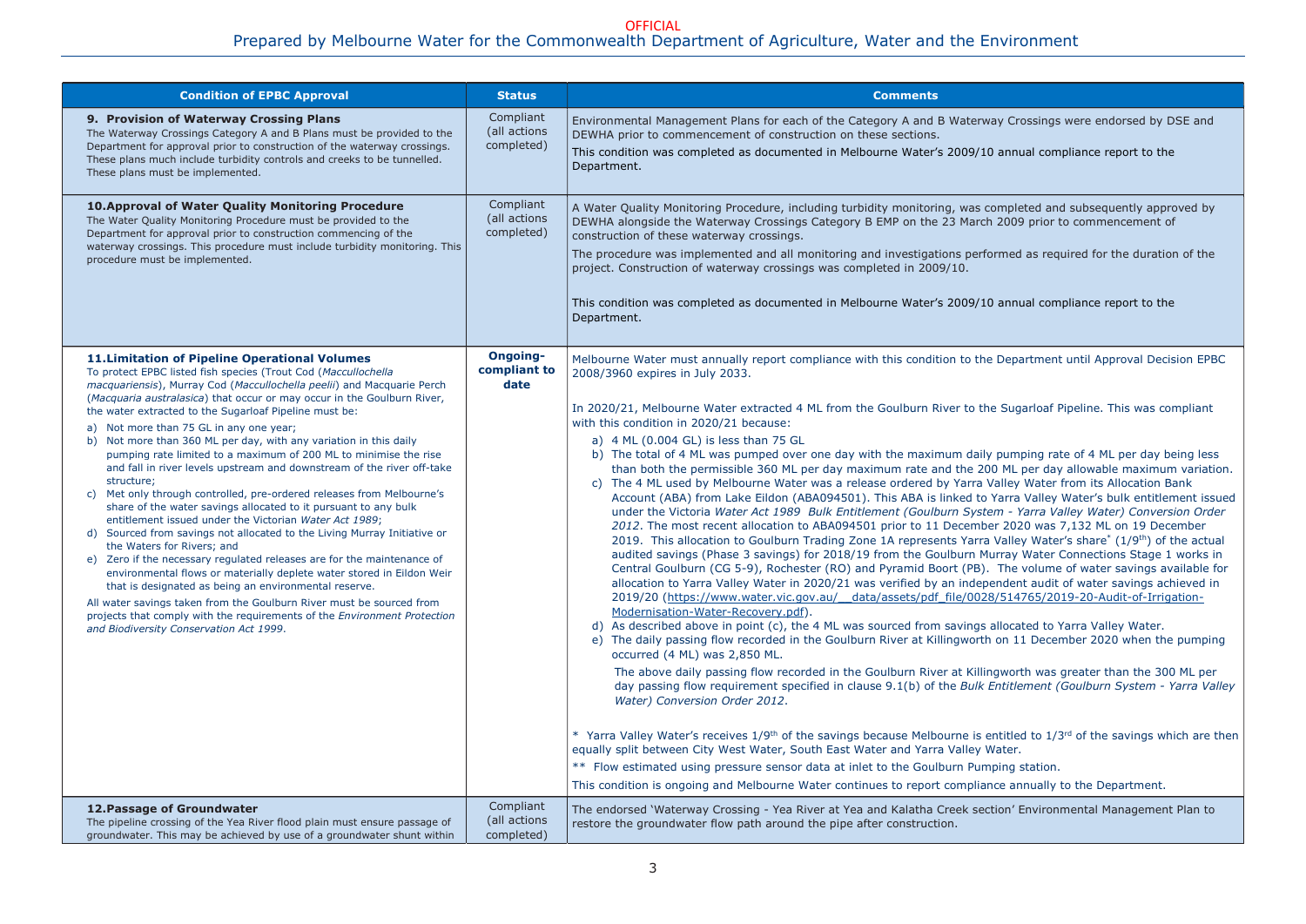#### Prepared by Melbourne Water for the Commonwealth Department of Agriculture, Water and the Environment OFFICIAL

| <b>Condition of EPBC Approval</b>                                                                                                                                                                                                                                                                                                                                                                                                                                                                                                                                                                                                                                                                                                                                                                                                                                                                                                                                                                                                                                                                                                                                                                                                                                                                                                             | <b>Status</b>                           | <b>Comments</b>                                                                                                                                                                                                                                                                                                                                                                                                                                                                                                                                                                                                                                                                                                                                                                                                                                                                                                                                                                                                                                                                                                                                                                                                                                                                                                                                                                                                                                                                                                                                                                                                                                                                                                                                                                                                                                                                                                                                                                                                                                                                                                                                                                                                                                                                                                                                                                                                                                                                                                                                                                                                                                                 |
|-----------------------------------------------------------------------------------------------------------------------------------------------------------------------------------------------------------------------------------------------------------------------------------------------------------------------------------------------------------------------------------------------------------------------------------------------------------------------------------------------------------------------------------------------------------------------------------------------------------------------------------------------------------------------------------------------------------------------------------------------------------------------------------------------------------------------------------------------------------------------------------------------------------------------------------------------------------------------------------------------------------------------------------------------------------------------------------------------------------------------------------------------------------------------------------------------------------------------------------------------------------------------------------------------------------------------------------------------|-----------------------------------------|-----------------------------------------------------------------------------------------------------------------------------------------------------------------------------------------------------------------------------------------------------------------------------------------------------------------------------------------------------------------------------------------------------------------------------------------------------------------------------------------------------------------------------------------------------------------------------------------------------------------------------------------------------------------------------------------------------------------------------------------------------------------------------------------------------------------------------------------------------------------------------------------------------------------------------------------------------------------------------------------------------------------------------------------------------------------------------------------------------------------------------------------------------------------------------------------------------------------------------------------------------------------------------------------------------------------------------------------------------------------------------------------------------------------------------------------------------------------------------------------------------------------------------------------------------------------------------------------------------------------------------------------------------------------------------------------------------------------------------------------------------------------------------------------------------------------------------------------------------------------------------------------------------------------------------------------------------------------------------------------------------------------------------------------------------------------------------------------------------------------------------------------------------------------------------------------------------------------------------------------------------------------------------------------------------------------------------------------------------------------------------------------------------------------------------------------------------------------------------------------------------------------------------------------------------------------------------------------------------------------------------------------------------------------|
| 9. Provision of Waterway Crossing Plans<br>The Waterway Crossings Category A and B Plans must be provided to the<br>Department for approval prior to construction of the waterway crossings.<br>These plans much include turbidity controls and creeks to be tunnelled.<br>These plans must be implemented.                                                                                                                                                                                                                                                                                                                                                                                                                                                                                                                                                                                                                                                                                                                                                                                                                                                                                                                                                                                                                                   | Compliant<br>(all actions<br>completed) | Environmental Management Plans for each of the Category A and B Waterway Crossings were endorsed by DSE and<br>DEWHA prior to commencement of construction on these sections.<br>This condition was completed as documented in Melbourne Water's 2009/10 annual compliance report to the<br>Department.                                                                                                                                                                                                                                                                                                                                                                                                                                                                                                                                                                                                                                                                                                                                                                                                                                                                                                                                                                                                                                                                                                                                                                                                                                                                                                                                                                                                                                                                                                                                                                                                                                                                                                                                                                                                                                                                                                                                                                                                                                                                                                                                                                                                                                                                                                                                                         |
| <b>10. Approval of Water Quality Monitoring Procedure</b><br>The Water Quality Monitoring Procedure must be provided to the<br>Department for approval prior to construction commencing of the<br>waterway crossings. This procedure must include turbidity monitoring. This<br>procedure must be implemented.                                                                                                                                                                                                                                                                                                                                                                                                                                                                                                                                                                                                                                                                                                                                                                                                                                                                                                                                                                                                                                | Compliant<br>(all actions<br>completed) | A Water Quality Monitoring Procedure, including turbidity monitoring, was completed and subsequently approved by<br>DEWHA alongside the Waterway Crossings Category B EMP on the 23 March 2009 prior to commencement of<br>construction of these waterway crossings.<br>The procedure was implemented and all monitoring and investigations performed as required for the duration of the<br>project. Construction of waterway crossings was completed in 2009/10.<br>This condition was completed as documented in Melbourne Water's 2009/10 annual compliance report to the<br>Department.                                                                                                                                                                                                                                                                                                                                                                                                                                                                                                                                                                                                                                                                                                                                                                                                                                                                                                                                                                                                                                                                                                                                                                                                                                                                                                                                                                                                                                                                                                                                                                                                                                                                                                                                                                                                                                                                                                                                                                                                                                                                    |
| <b>11. Limitation of Pipeline Operational Volumes</b><br>To protect EPBC listed fish species (Trout Cod (Maccullochella<br>macquariensis), Murray Cod (Maccullochella peelii) and Macquarie Perch<br>(Macquaria australasica) that occur or may occur in the Goulburn River,<br>the water extracted to the Sugarloaf Pipeline must be:<br>a) Not more than 75 GL in any one year;<br>b) Not more than 360 ML per day, with any variation in this daily<br>pumping rate limited to a maximum of 200 ML to minimise the rise<br>and fall in river levels upstream and downstream of the river off-take<br>structure;<br>c) Met only through controlled, pre-ordered releases from Melbourne's<br>share of the water savings allocated to it pursuant to any bulk<br>entitlement issued under the Victorian Water Act 1989;<br>d) Sourced from savings not allocated to the Living Murray Initiative or<br>the Waters for Rivers; and<br>e) Zero if the necessary regulated releases are for the maintenance of<br>environmental flows or materially deplete water stored in Eildon Weir<br>that is designated as being an environmental reserve.<br>All water savings taken from the Goulburn River must be sourced from<br>projects that comply with the requirements of the Environment Protection<br>and Biodiversity Conservation Act 1999. | Ongoing-<br>compliant to<br>date        | Melbourne Water must annually report compliance with this condition to the Department until Approval Decision EPBC<br>2008/3960 expires in July 2033.<br>In 2020/21, Melbourne Water extracted 4 ML from the Goulburn River to the Sugarloaf Pipeline. This was compliant<br>with this condition in 2020/21 because:<br>a) 4 ML (0.004 GL) is less than 75 GL<br>b) The total of 4 ML was pumped over one day with the maximum daily pumping rate of 4 ML per day being less<br>than both the permissible 360 ML per day maximum rate and the 200 ML per day allowable maximum variation<br>c) The 4 ML used by Melbourne Water was a release ordered by Yarra Valley Water from its Allocation Bank<br>Account (ABA) from Lake Eildon (ABA094501). This ABA is linked to Yarra Valley Water's bulk entitlement issue<br>under the Victoria Water Act 1989 Bulk Entitlement (Goulburn System - Yarra Valley Water) Conversion Order<br>2012. The most recent allocation to ABA094501 prior to 11 December 2020 was 7,132 ML on 19 December<br>2019. This allocation to Goulburn Trading Zone 1A represents Yarra Valley Water's share <sup>*</sup> (1/9 <sup>th</sup> ) of the actual<br>audited savings (Phase 3 savings) for 2018/19 from the Goulburn Murray Water Connections Stage 1 works in<br>Central Goulburn (CG 5-9), Rochester (RO) and Pyramid Boort (PB). The volume of water savings available for<br>allocation to Yarra Valley Water in 2020/21 was verified by an independent audit of water savings achieved in<br>2019/20 (https://www.water.vic.gov.au/ data/assets/pdf file/0028/514765/2019-20-Audit-of-Irrigation-<br>Modernisation-Water-Recovery.pdf).<br>d) As described above in point (c), the 4 ML was sourced from savings allocated to Yarra Valley Water.<br>e) The daily passing flow recorded in the Goulburn River at Killingworth on 11 December 2020 when the pumping<br>occurred (4 ML) was 2,850 ML.<br>The above daily passing flow recorded in the Goulburn River at Killingworth was greater than the 300 ML per<br>day passing flow requirement specified in clause 9.1(b) of the Bulk Entitlement (Goulburn System - Yarra Valle<br>Water) Conversion Order 2012.<br>* Yarra Valley Water's receives $1/9$ <sup>th</sup> of the savings because Melbourne is entitled to $1/3$ <sup>rd</sup> of the savings which are the<br>equally split between City West Water, South East Water and Yarra Valley Water.<br>** Flow estimated using pressure sensor data at inlet to the Goulburn Pumping station.<br>This condition is ongoing and Melbourne Water continues to report compliance annually to the Department. |
| 12. Passage of Groundwater<br>The pipeline crossing of the Yea River flood plain must ensure passage of<br>groundwater. This may be achieved by use of a groundwater shunt within                                                                                                                                                                                                                                                                                                                                                                                                                                                                                                                                                                                                                                                                                                                                                                                                                                                                                                                                                                                                                                                                                                                                                             | Compliant<br>(all actions<br>completed) | The endorsed 'Waterway Crossing - Yea River at Yea and Kalatha Creek section' Environmental Management Plan to<br>restore the groundwater flow path around the pipe after construction.                                                                                                                                                                                                                                                                                                                                                                                                                                                                                                                                                                                                                                                                                                                                                                                                                                                                                                                                                                                                                                                                                                                                                                                                                                                                                                                                                                                                                                                                                                                                                                                                                                                                                                                                                                                                                                                                                                                                                                                                                                                                                                                                                                                                                                                                                                                                                                                                                                                                         |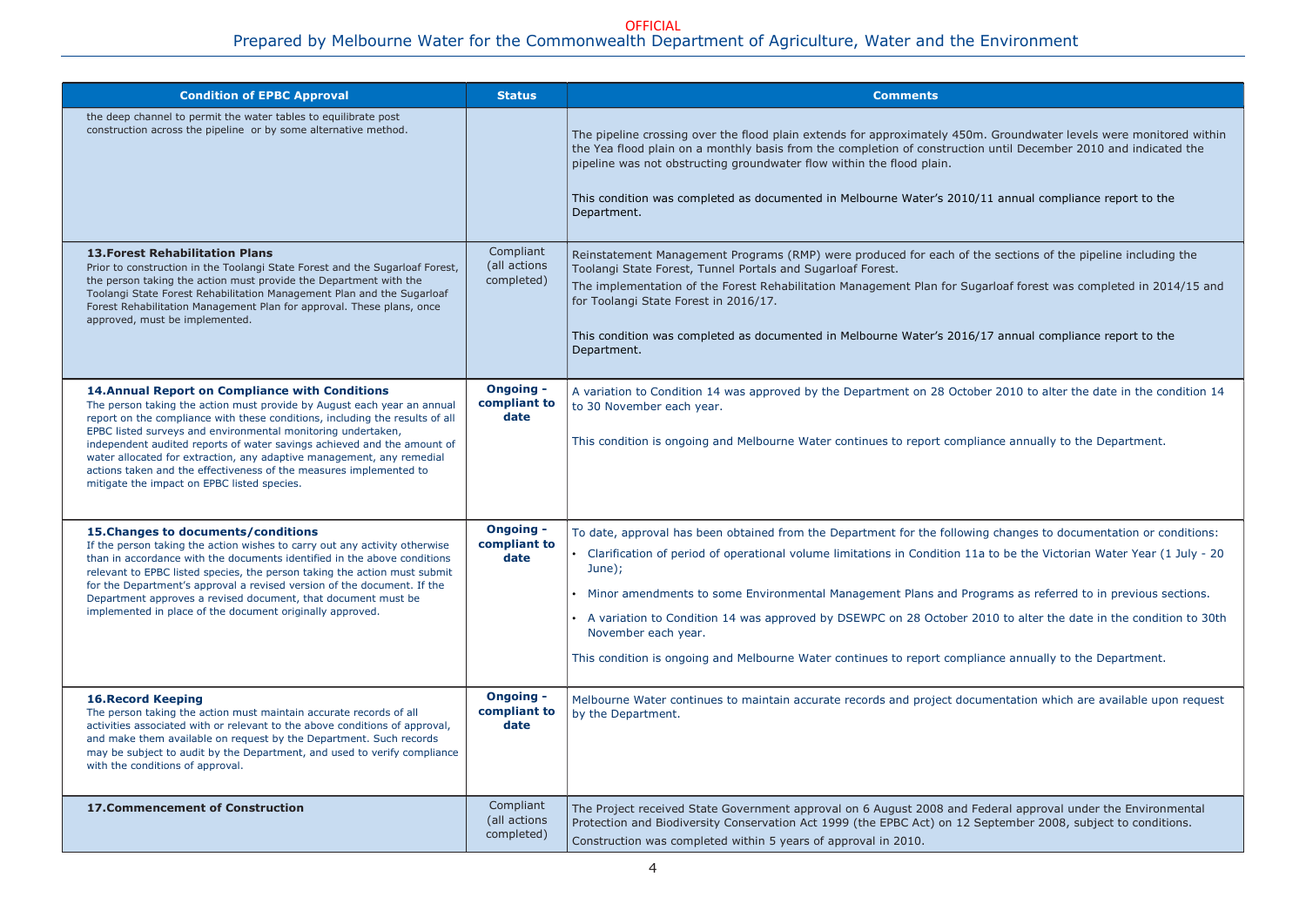#### Prepared by Melbourne Water for the Commonwealth Department of Agriculture, Water and the Environment OFFICIAL

Groundwater levels were monitored within until December 2010 and indicated the

.1 annual compliance report to the

e sections of the pipeline including the

arloaf forest was completed in 2014/15 and

T annual compliance report to the

er 2010 to alter the date in the condition 14

ance annually to the Department.

g changes to documentation or conditions: to be the Victorian Water Year (1 July - 20

grams as referred to in previous sections. 10 to alter the date in the condition to 30th

ance annually to the Department.

mentation which are available upon request

deral approval under the Environmental ptember 2008, subject to conditions.

| <b>Condition of EPBC Approval</b>                                                                                                                                                                                                                                                                                                                                                                                                                                                                                                                          | <b>Status</b>                            | <b>Comments</b>                                                                                                                                                                                                                                                                                                                                                                                                         |
|------------------------------------------------------------------------------------------------------------------------------------------------------------------------------------------------------------------------------------------------------------------------------------------------------------------------------------------------------------------------------------------------------------------------------------------------------------------------------------------------------------------------------------------------------------|------------------------------------------|-------------------------------------------------------------------------------------------------------------------------------------------------------------------------------------------------------------------------------------------------------------------------------------------------------------------------------------------------------------------------------------------------------------------------|
| the deep channel to permit the water tables to equilibrate post<br>construction across the pipeline or by some alternative method.                                                                                                                                                                                                                                                                                                                                                                                                                         |                                          | The pipeline crossing over the flood plain extends for approximately 450m.<br>the Yea flood plain on a monthly basis from the completion of construction<br>pipeline was not obstructing groundwater flow within the flood plain.<br>This condition was completed as documented in Melbourne Water's 2010/1<br>Department.                                                                                              |
| <b>13. Forest Rehabilitation Plans</b><br>Prior to construction in the Toolangi State Forest and the Sugarloaf Forest,<br>the person taking the action must provide the Department with the<br>Toolangi State Forest Rehabilitation Management Plan and the Sugarloaf<br>Forest Rehabilitation Management Plan for approval. These plans, once<br>approved, must be implemented.                                                                                                                                                                           | Compliant<br>(all actions<br>completed)  | Reinstatement Management Programs (RMP) were produced for each of the<br>Toolangi State Forest, Tunnel Portals and Sugarloaf Forest.<br>The implementation of the Forest Rehabilitation Management Plan for Suga<br>for Toolangi State Forest in 2016/17.<br>This condition was completed as documented in Melbourne Water's 2016/1<br>Department.                                                                      |
| <b>14. Annual Report on Compliance with Conditions</b><br>The person taking the action must provide by August each year an annual<br>report on the compliance with these conditions, including the results of all<br>EPBC listed surveys and environmental monitoring undertaken,<br>independent audited reports of water savings achieved and the amount of<br>water allocated for extraction, any adaptive management, any remedial<br>actions taken and the effectiveness of the measures implemented to<br>mitigate the impact on EPBC listed species. | <b>Ongoing -</b><br>compliant to<br>date | A variation to Condition 14 was approved by the Department on 28 Octobe<br>to 30 November each year.<br>This condition is ongoing and Melbourne Water continues to report complia                                                                                                                                                                                                                                       |
| 15. Changes to documents/conditions<br>If the person taking the action wishes to carry out any activity otherwise<br>than in accordance with the documents identified in the above conditions<br>relevant to EPBC listed species, the person taking the action must submit<br>for the Department's approval a revised version of the document. If the<br>Department approves a revised document, that document must be<br>implemented in place of the document originally approved.                                                                        | <b>Ongoing -</b><br>compliant to<br>date | To date, approval has been obtained from the Department for the following<br>• Clarification of period of operational volume limitations in Condition 11a<br>June $);$<br>Minor amendments to some Environmental Management Plans and Prog<br>• A variation to Condition 14 was approved by DSEWPC on 28 October 20<br>November each year.<br>This condition is ongoing and Melbourne Water continues to report complia |
| <b>16. Record Keeping</b><br>The person taking the action must maintain accurate records of all<br>activities associated with or relevant to the above conditions of approval,<br>and make them available on request by the Department. Such records<br>may be subject to audit by the Department, and used to verify compliance<br>with the conditions of approval.                                                                                                                                                                                       | <b>Ongoing -</b><br>compliant to<br>date | Melbourne Water continues to maintain accurate records and project docur<br>by the Department.                                                                                                                                                                                                                                                                                                                          |
| <b>17. Commencement of Construction</b>                                                                                                                                                                                                                                                                                                                                                                                                                                                                                                                    | Compliant<br>(all actions<br>completed)  | The Project received State Government approval on 6 August 2008 and Fee<br>Protection and Biodiversity Conservation Act 1999 (the EPBC Act) on 12 Se<br>Construction was completed within 5 years of approval in 2010.                                                                                                                                                                                                  |